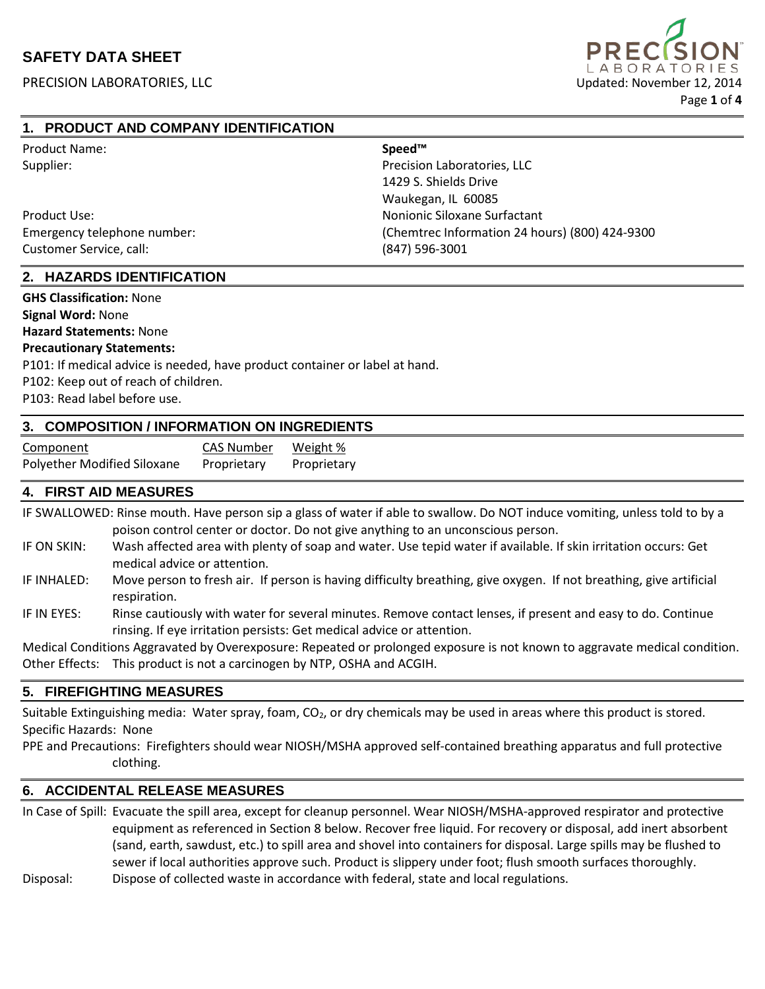

## **1. PRODUCT AND COMPANY IDENTIFICATION**

| <b>Product Name:</b>        | Speed™                                         |
|-----------------------------|------------------------------------------------|
| Supplier:                   | Precision Laboratories, LLC                    |
|                             | 1429 S. Shields Drive                          |
|                             | Waukegan, IL 60085                             |
| Product Use:                | Nonionic Siloxane Surfactant                   |
| Emergency telephone number: | (Chemtrec Information 24 hours) (800) 424-9300 |
| Customer Service, call:     | (847) 596-3001                                 |

### **2. HAZARDS IDENTIFICATION**

**GHS Classification:** None

**Signal Word:** None

**Hazard Statements:** None

#### **Precautionary Statements:**

P101: If medical advice is needed, have product container or label at hand.

P102: Keep out of reach of children.

P103: Read label before use.

### **3. COMPOSITION / INFORMATION ON INGREDIENTS**

| Component                   | <b>CAS Number</b> | Weight %    |
|-----------------------------|-------------------|-------------|
| Polyether Modified Siloxane | Proprietary       | Proprietary |

## **4. FIRST AID MEASURES**

IF SWALLOWED: Rinse mouth. Have person sip a glass of water if able to swallow. Do NOT induce vomiting, unless told to by a poison control center or doctor. Do not give anything to an unconscious person.

- IF ON SKIN: Wash affected area with plenty of soap and water. Use tepid water if available. If skin irritation occurs: Get medical advice or attention.
- IF INHALED: Move person to fresh air. If person is having difficulty breathing, give oxygen. If not breathing, give artificial respiration.
- IF IN EYES: Rinse cautiously with water for several minutes. Remove contact lenses, if present and easy to do. Continue rinsing. If eye irritation persists: Get medical advice or attention.

Medical Conditions Aggravated by Overexposure: Repeated or prolonged exposure is not known to aggravate medical condition. Other Effects: This product is not a carcinogen by NTP, OSHA and ACGIH.

### **5. FIREFIGHTING MEASURES**

Suitable Extinguishing media: Water spray, foam, CO<sub>2</sub>, or dry chemicals may be used in areas where this product is stored. Specific Hazards: None

PPE and Precautions: Firefighters should wear NIOSH/MSHA approved self-contained breathing apparatus and full protective clothing.

### **6. ACCIDENTAL RELEASE MEASURES**

In Case of Spill: Evacuate the spill area, except for cleanup personnel. Wear NIOSH/MSHA-approved respirator and protective equipment as referenced in Section 8 below. Recover free liquid. For recovery or disposal, add inert absorbent (sand, earth, sawdust, etc.) to spill area and shovel into containers for disposal. Large spills may be flushed to sewer if local authorities approve such. Product is slippery under foot; flush smooth surfaces thoroughly. Disposal: Dispose of collected waste in accordance with federal, state and local regulations.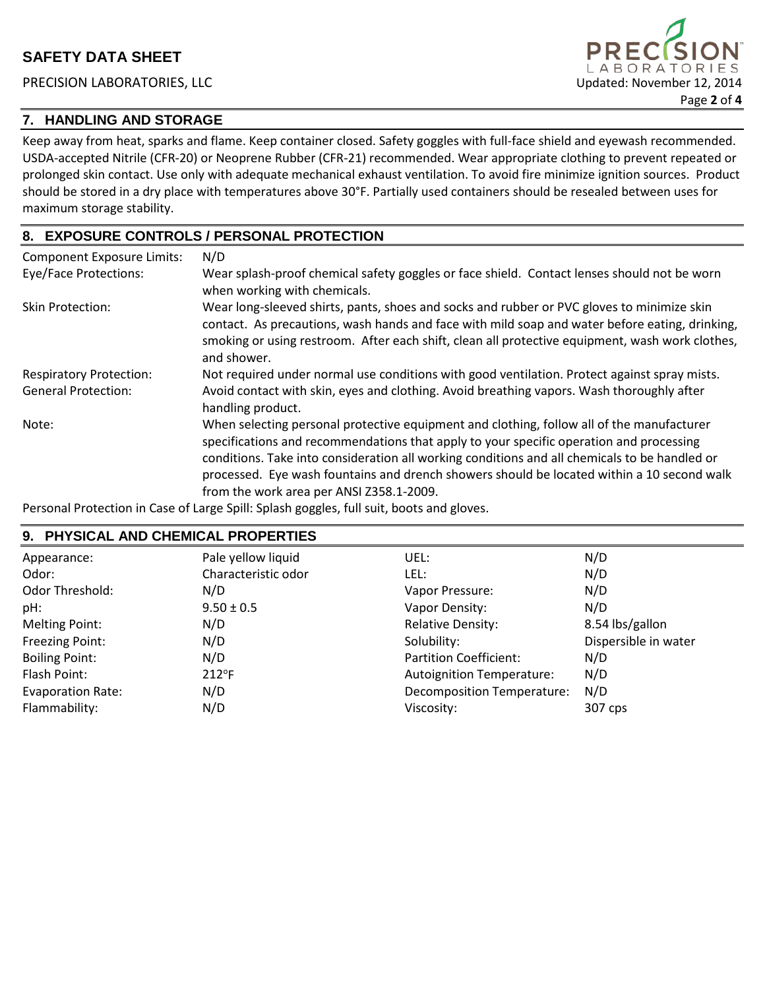# **7. HANDLING AND STORAGE**

Keep away from heat, sparks and flame. Keep container closed. Safety goggles with full-face shield and eyewash recommended. USDA-accepted Nitrile (CFR-20) or Neoprene Rubber (CFR-21) recommended. Wear appropriate clothing to prevent repeated or prolonged skin contact. Use only with adequate mechanical exhaust ventilation. To avoid fire minimize ignition sources. Product should be stored in a dry place with temperatures above 30°F. Partially used containers should be resealed between uses for maximum storage stability.

# **8. EXPOSURE CONTROLS / PERSONAL PROTECTION**

| <b>Component Exposure Limits:</b> | N/D                                                                                                                                                                                                                                                                                                                                                                                                                             |
|-----------------------------------|---------------------------------------------------------------------------------------------------------------------------------------------------------------------------------------------------------------------------------------------------------------------------------------------------------------------------------------------------------------------------------------------------------------------------------|
| <b>Eye/Face Protections:</b>      | Wear splash-proof chemical safety goggles or face shield. Contact lenses should not be worn<br>when working with chemicals.                                                                                                                                                                                                                                                                                                     |
| <b>Skin Protection:</b>           | Wear long-sleeved shirts, pants, shoes and socks and rubber or PVC gloves to minimize skin<br>contact. As precautions, wash hands and face with mild soap and water before eating, drinking,<br>smoking or using restroom. After each shift, clean all protective equipment, wash work clothes,<br>and shower.                                                                                                                  |
| <b>Respiratory Protection:</b>    | Not required under normal use conditions with good ventilation. Protect against spray mists.                                                                                                                                                                                                                                                                                                                                    |
| <b>General Protection:</b>        | Avoid contact with skin, eyes and clothing. Avoid breathing vapors. Wash thoroughly after<br>handling product.                                                                                                                                                                                                                                                                                                                  |
| Note:                             | When selecting personal protective equipment and clothing, follow all of the manufacturer<br>specifications and recommendations that apply to your specific operation and processing<br>conditions. Take into consideration all working conditions and all chemicals to be handled or<br>processed. Eye wash fountains and drench showers should be located within a 10 second walk<br>from the work area per ANSI Z358.1-2009. |
|                                   |                                                                                                                                                                                                                                                                                                                                                                                                                                 |

Personal Protection in Case of Large Spill: Splash goggles, full suit, boots and gloves.

## **9. PHYSICAL AND CHEMICAL PROPERTIES**

| Appearance:              | Pale yellow liquid  | UEL:                             | N/D                  |
|--------------------------|---------------------|----------------------------------|----------------------|
| Odor:                    | Characteristic odor | LEL:                             | N/D                  |
| Odor Threshold:          | N/D                 | Vapor Pressure:                  | N/D                  |
| pH:                      | $9.50 \pm 0.5$      | Vapor Density:                   | N/D                  |
| <b>Melting Point:</b>    | N/D                 | <b>Relative Density:</b>         | 8.54 lbs/gallon      |
| Freezing Point:          | N/D                 | Solubility:                      | Dispersible in water |
| <b>Boiling Point:</b>    | N/D                 | <b>Partition Coefficient:</b>    | N/D                  |
| Flash Point:             | $212^{\circ}F$      | <b>Autoignition Temperature:</b> | N/D                  |
| <b>Evaporation Rate:</b> | N/D                 | Decomposition Temperature:       | N/D                  |
| Flammability:            | N/D                 | Viscosity:                       | 307 cps              |

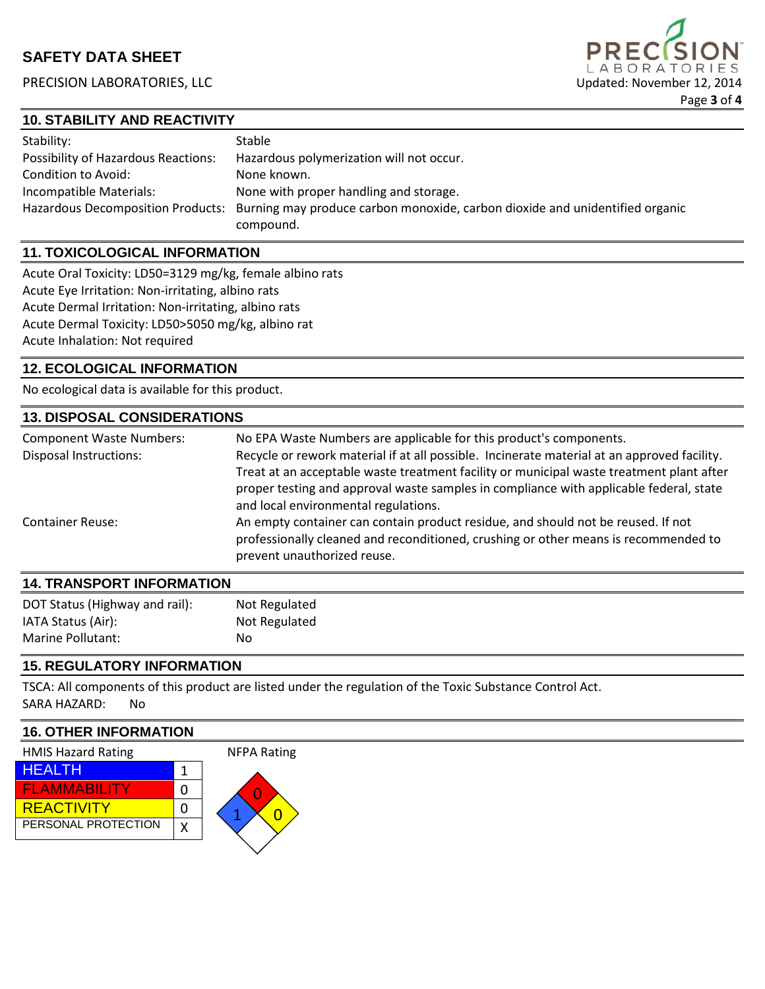

## **10. STABILITY AND REACTIVITY**

| Stability:                                 | Stable                                                                                                         |
|--------------------------------------------|----------------------------------------------------------------------------------------------------------------|
| <b>Possibility of Hazardous Reactions:</b> | Hazardous polymerization will not occur.                                                                       |
| Condition to Avoid:                        | None known.                                                                                                    |
| Incompatible Materials:                    | None with proper handling and storage.                                                                         |
|                                            | Hazardous Decomposition Products: Burning may produce carbon monoxide, carbon dioxide and unidentified organic |
|                                            | compound.                                                                                                      |

## **11. TOXICOLOGICAL INFORMATION**

Acute Oral Toxicity: LD50=3129 mg/kg, female albino rats Acute Eye Irritation: Non-irritating, albino rats Acute Dermal Irritation: Non-irritating, albino rats Acute Dermal Toxicity: LD50>5050 mg/kg, albino rat Acute Inhalation: Not required

## **12. ECOLOGICAL INFORMATION**

No ecological data is available for this product.

#### **13. DISPOSAL CONSIDERATIONS**

| <b>Component Waste Numbers:</b><br><b>Disposal Instructions:</b> | No EPA Waste Numbers are applicable for this product's components.<br>Recycle or rework material if at all possible. Incinerate material at an approved facility.<br>Treat at an acceptable waste treatment facility or municipal waste treatment plant after<br>proper testing and approval waste samples in compliance with applicable federal, state<br>and local environmental regulations. |
|------------------------------------------------------------------|-------------------------------------------------------------------------------------------------------------------------------------------------------------------------------------------------------------------------------------------------------------------------------------------------------------------------------------------------------------------------------------------------|
| <b>Container Reuse:</b>                                          | An empty container can contain product residue, and should not be reused. If not<br>professionally cleaned and reconditioned, crushing or other means is recommended to<br>prevent unauthorized reuse.                                                                                                                                                                                          |

| <b>14. TRANSPORT INFORMATION</b> |               |  |
|----------------------------------|---------------|--|
| DOT Status (Highway and rail):   | Not Regulated |  |
| IATA Status (Air):               | Not Regulated |  |
| Marine Pollutant:                | No            |  |

### **15. REGULATORY INFORMATION**

TSCA: All components of this product are listed under the regulation of the Toxic Substance Control Act. SARA HAZARD: No

## **16. OTHER INFORMATION**